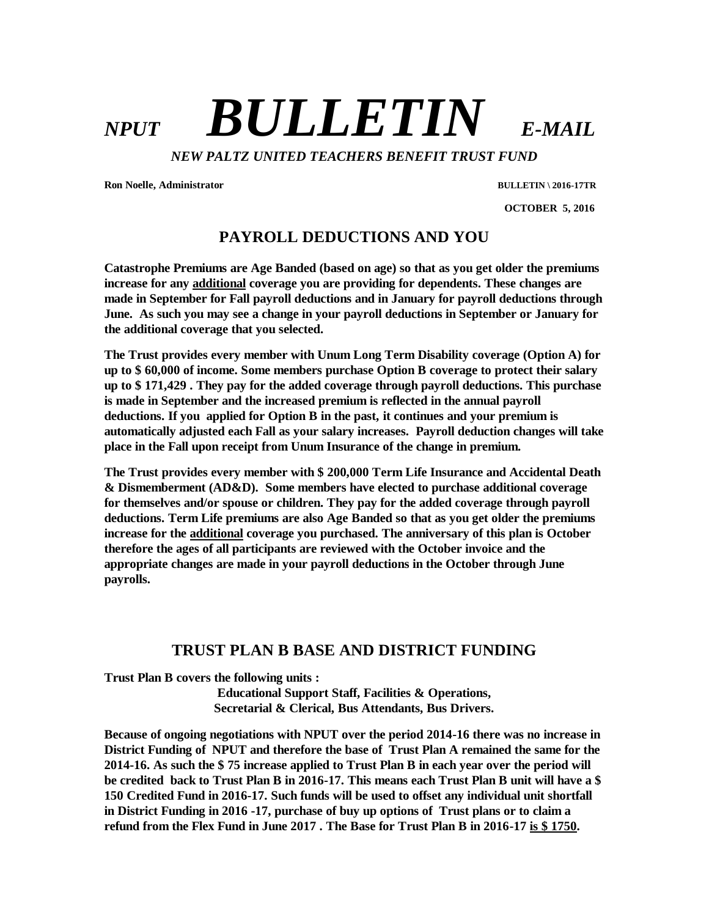# *NPUT BULLETIN E-MAIL*

*NEW PALTZ UNITED TEACHERS BENEFIT TRUST FUND*

**Ron Noelle, Administrator BULLETIN \ 2016-17TR**

 **OCTOBER 5, 2016**

## **PAYROLL DEDUCTIONS AND YOU**

**Catastrophe Premiums are Age Banded (based on age) so that as you get older the premiums increase for any additional coverage you are providing for dependents. These changes are made in September for Fall payroll deductions and in January for payroll deductions through June. As such you may see a change in your payroll deductions in September or January for the additional coverage that you selected.**

**The Trust provides every member with Unum Long Term Disability coverage (Option A) for up to \$ 60,000 of income. Some members purchase Option B coverage to protect their salary up to \$ 171,429 . They pay for the added coverage through payroll deductions. This purchase is made in September and the increased premium is reflected in the annual payroll deductions. If you applied for Option B in the past, it continues and your premium is automatically adjusted each Fall as your salary increases. Payroll deduction changes will take place in the Fall upon receipt from Unum Insurance of the change in premium.**

**The Trust provides every member with \$ 200,000 Term Life Insurance and Accidental Death & Dismemberment (AD&D). Some members have elected to purchase additional coverage for themselves and/or spouse or children. They pay for the added coverage through payroll deductions. Term Life premiums are also Age Banded so that as you get older the premiums increase for the additional coverage you purchased. The anniversary of this plan is October therefore the ages of all participants are reviewed with the October invoice and the appropriate changes are made in your payroll deductions in the October through June payrolls.**

#### **TRUST PLAN B BASE AND DISTRICT FUNDING**

**Trust Plan B covers the following units :** 

**Educational Support Staff, Facilities & Operations, Secretarial & Clerical, Bus Attendants, Bus Drivers.**

**Because of ongoing negotiations with NPUT over the period 2014-16 there was no increase in District Funding of NPUT and therefore the base of Trust Plan A remained the same for the 2014-16. As such the \$ 75 increase applied to Trust Plan B in each year over the period will be credited back to Trust Plan B in 2016-17. This means each Trust Plan B unit will have a \$ 150 Credited Fund in 2016-17. Such funds will be used to offset any individual unit shortfall in District Funding in 2016 -17, purchase of buy up options of Trust plans or to claim a refund from the Flex Fund in June 2017 . The Base for Trust Plan B in 2016-17 is \$ 1750.**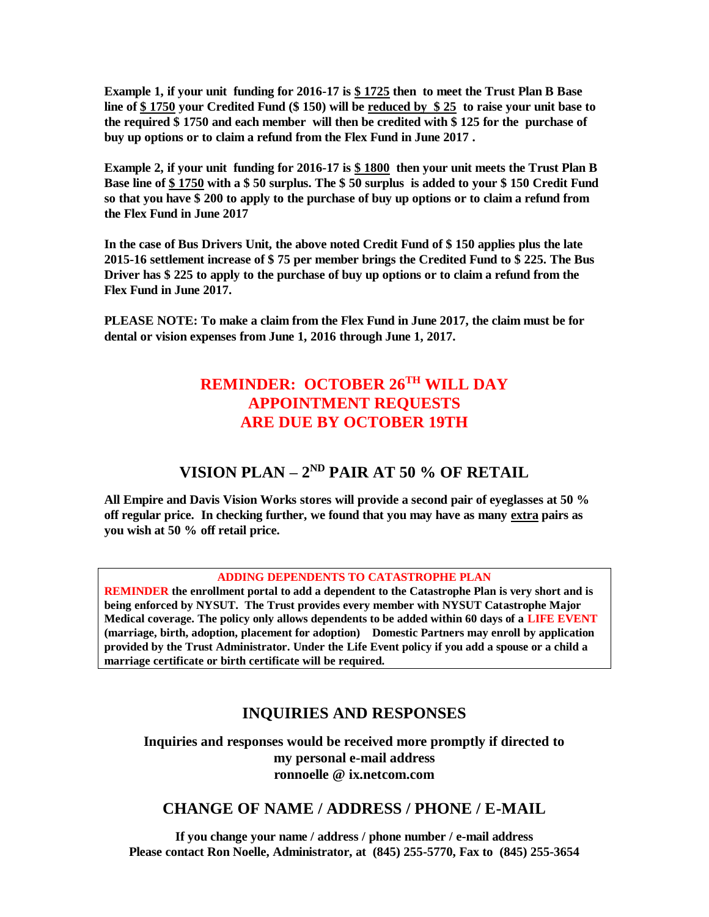**Example 1, if your unit funding for 2016-17 is \$ 1725 then to meet the Trust Plan B Base line of \$ 1750 your Credited Fund (\$ 150) will be reduced by \$ 25 to raise your unit base to the required \$ 1750 and each member will then be credited with \$ 125 for the purchase of buy up options or to claim a refund from the Flex Fund in June 2017 .** 

**Example 2, if your unit funding for 2016-17 is \$ 1800 then your unit meets the Trust Plan B Base line of \$ 1750 with a \$ 50 surplus. The \$ 50 surplus is added to your \$ 150 Credit Fund so that you have \$ 200 to apply to the purchase of buy up options or to claim a refund from the Flex Fund in June 2017** 

**In the case of Bus Drivers Unit, the above noted Credit Fund of \$ 150 applies plus the late 2015-16 settlement increase of \$ 75 per member brings the Credited Fund to \$ 225. The Bus Driver has \$ 225 to apply to the purchase of buy up options or to claim a refund from the Flex Fund in June 2017.**

**PLEASE NOTE: To make a claim from the Flex Fund in June 2017, the claim must be for dental or vision expenses from June 1, 2016 through June 1, 2017.**

# **REMINDER: OCTOBER 26TH WILL DAY APPOINTMENT REQUESTS ARE DUE BY OCTOBER 19TH**

### **VISION PLAN – 2<sup>ND</sup> PAIR AT 50 % OF RETAIL**

**All Empire and Davis Vision Works stores will provide a second pair of eyeglasses at 50 % off regular price. In checking further, we found that you may have as many extra pairs as you wish at 50 % off retail price.**

#### **ADDING DEPENDENTS TO CATASTROPHE PLAN**

**REMINDER the enrollment portal to add a dependent to the Catastrophe Plan is very short and is being enforced by NYSUT. The Trust provides every member with NYSUT Catastrophe Major Medical coverage. The policy only allows dependents to be added within 60 days of a LIFE EVENT (marriage, birth, adoption, placement for adoption) Domestic Partners may enroll by application provided by the Trust Administrator. Under the Life Event policy if you add a spouse or a child a marriage certificate or birth certificate will be required.** 

#### **INQUIRIES AND RESPONSES**

**Inquiries and responses would be received more promptly if directed to my personal e-mail address ronnoelle @ ix.netcom.com**

#### **CHANGE OF NAME / ADDRESS / PHONE / E-MAIL**

**If you change your name / address / phone number / e-mail address Please contact Ron Noelle, Administrator, at (845) 255-5770, Fax to (845) 255-3654**